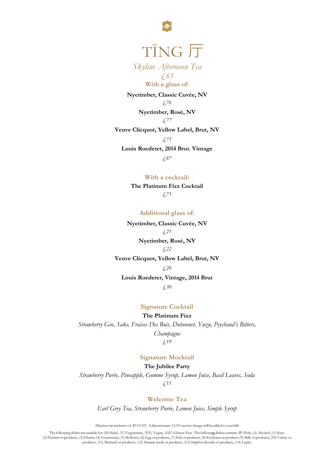

# TĪNG 厅

*Skyline Afternoon Tea £65*

**With a glass of:**

**Nyetimber, Classic Cuvée, NV** *£76* **Nyetimber, Rosé, NV**

*£77*

#### **Veuve Clicquot, Yellow Label, Brut, NV**

*£75*

**Louis Roederer, 2014 Brut***,* **Vintage**

*£87*

**With a cocktail:**

**The Platinum Fizz Cocktail** *£75*

**Additional glass of:**

**Nyetimber, Classic Cuvée, NV** *£21* **Nyetimber, Rosé, NV** *£22*

**Veuve Clicquot, Yellow Label, Brut, NV**

#### *£20*

#### **Louis Roederer, Vintage, 2014 Brut**

*£30*

# **Signature Cocktail**

**The Platinum Fizz**

*Strawberry Gin, Sake, Fraises Des Bois, Dubonnet, Yuzu, Peychaud's Bitters, Champagne*

*£19*

# **Signature Mocktail**

**The Jubilee Party**

*Strawberry Purée, Pineapple, Gomme Syrup, Lemon Juice, Basil Leaves, Soda £11*

**Welcome Tea**

*Earl Grey Tea, Strawberry Purée, Lemon Juice, Simple Syrup*

All prices are inclusive of 20% VAT. Adiscretionary 12.5% service chargewill be added to your bill.

The following dishes are suitable for: (H)Halal, (V)Vegetarians, (VE) Vegan, (GF) Gluten Free. The following dishes contain: (P) Pork, (A) Alcohol, (1) Nuts, (2) Peanuts or products, (3) Gluten, (4) Crustaceans, (5) Molluscs, (6) Egg or products, (7) Fish or products, (8) Soybeans or products (9) Milk or products, (10) Celery or products, (11) Mustard or products, (12) Sesame seeds or products, (13) Sulphur dioxide or products, (14) Lupin.